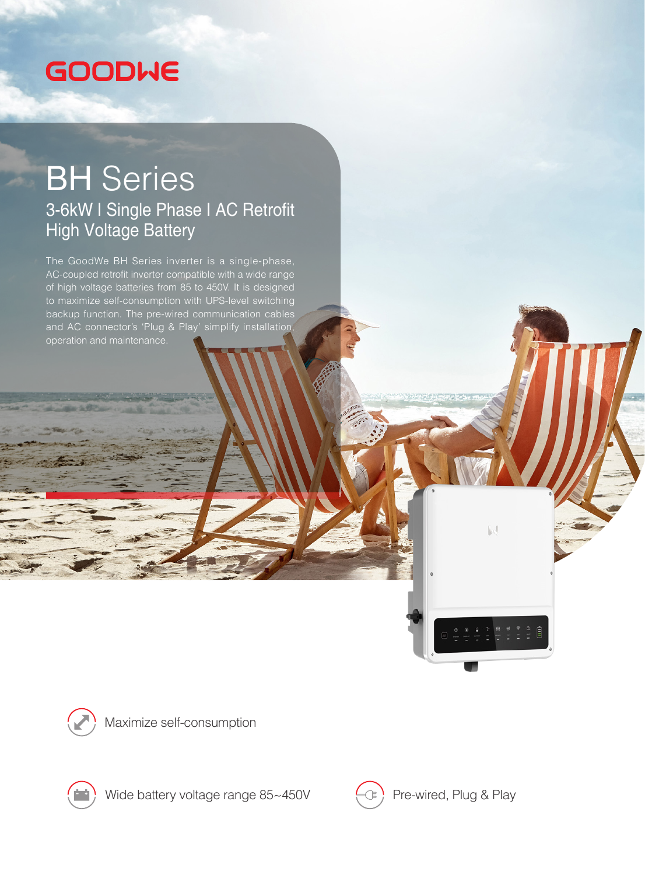## **GOODWE**

## BH Series 3-6kW I Single Phase I AC Retrofit High Voltage Battery

The GoodWe BH Series inverter is a single-phase, AC-coupled retrofit inverter compatible with a wide range of high voltage batteries from 85 to 450V. It is designed to maximize self-consumption with UPS-level switching backup function. The pre-wired communication cables and AC connector's 'Plug & Play' simplify installation, operation and maintenance.



Maximize self-consumption



Wide battery voltage range  $85 \sim 450V$   $\leftarrow \bigcirc$  Pre-wired, Plug & Play



 $\mathbb{R}$